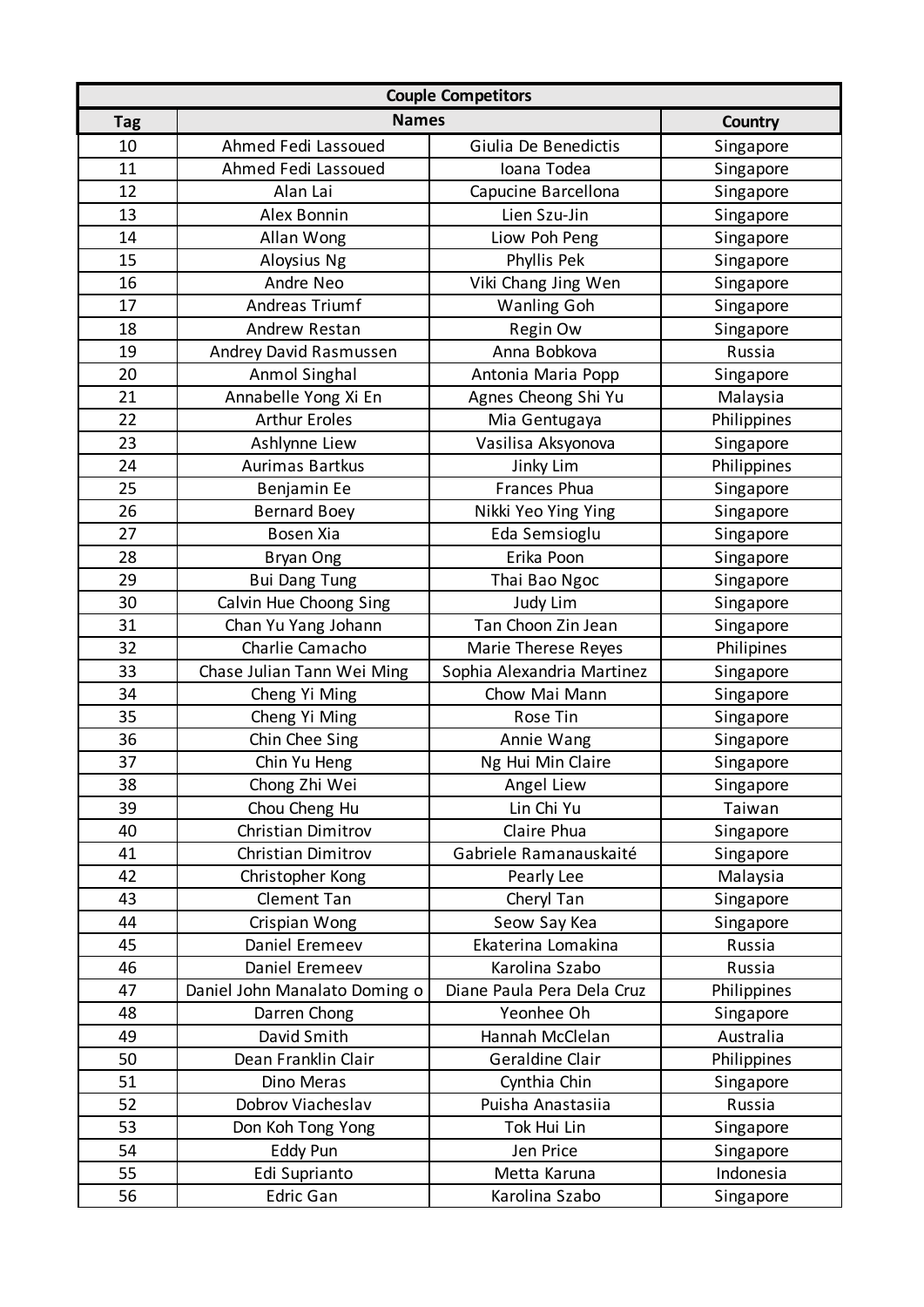| <b>Couple Competitors</b> |                               |                            |                |  |  |
|---------------------------|-------------------------------|----------------------------|----------------|--|--|
| <b>Tag</b>                | <b>Names</b>                  |                            | <b>Country</b> |  |  |
| 10                        | Ahmed Fedi Lassoued           | Giulia De Benedictis       | Singapore      |  |  |
| 11                        | Ahmed Fedi Lassoued           | Ioana Todea                | Singapore      |  |  |
| 12                        | Alan Lai                      | Capucine Barcellona        | Singapore      |  |  |
| 13                        | Alex Bonnin                   | Lien Szu-Jin               | Singapore      |  |  |
| 14                        | Allan Wong                    | Liow Poh Peng              | Singapore      |  |  |
| 15                        | Aloysius Ng                   | Phyllis Pek                | Singapore      |  |  |
| 16                        | Andre Neo                     | Viki Chang Jing Wen        | Singapore      |  |  |
| 17                        | Andreas Triumf                | <b>Wanling Goh</b>         | Singapore      |  |  |
| 18                        | Andrew Restan                 | Regin Ow                   | Singapore      |  |  |
| 19                        | Andrey David Rasmussen        | Anna Bobkova               | Russia         |  |  |
| 20                        | Anmol Singhal                 | Antonia Maria Popp         | Singapore      |  |  |
| 21                        | Annabelle Yong Xi En          | Agnes Cheong Shi Yu        | Malaysia       |  |  |
| 22                        | <b>Arthur Eroles</b>          | Mia Gentugaya              | Philippines    |  |  |
| 23                        | Ashlynne Liew                 | Vasilisa Aksyonova         | Singapore      |  |  |
| 24                        | <b>Aurimas Bartkus</b>        | Jinky Lim                  | Philippines    |  |  |
| 25                        | Benjamin Ee                   | Frances Phua               | Singapore      |  |  |
| 26                        | <b>Bernard Boey</b>           | Nikki Yeo Ying Ying        | Singapore      |  |  |
| 27                        | Bosen Xia                     | Eda Semsioglu              | Singapore      |  |  |
| 28                        | Bryan Ong                     | Erika Poon                 | Singapore      |  |  |
| 29                        | <b>Bui Dang Tung</b>          | Thai Bao Ngoc              | Singapore      |  |  |
| 30                        | Calvin Hue Choong Sing        | Judy Lim                   | Singapore      |  |  |
| 31                        | Chan Yu Yang Johann           | Tan Choon Zin Jean         | Singapore      |  |  |
| 32                        | Charlie Camacho               | Marie Therese Reyes        | Philipines     |  |  |
| 33                        | Chase Julian Tann Wei Ming    | Sophia Alexandria Martinez | Singapore      |  |  |
| 34                        | Cheng Yi Ming                 | Chow Mai Mann              | Singapore      |  |  |
| 35                        | Cheng Yi Ming                 | Rose Tin                   | Singapore      |  |  |
| 36                        | Chin Chee Sing                | Annie Wang                 | Singapore      |  |  |
| 37                        | Chin Yu Heng                  | Ng Hui Min Claire          | Singapore      |  |  |
| 38                        | Chong Zhi Wei                 | Angel Liew                 | Singapore      |  |  |
| 39                        | Chou Cheng Hu                 | Lin Chi Yu                 | Taiwan         |  |  |
| 40                        | Christian Dimitrov            | Claire Phua                | Singapore      |  |  |
| 41                        | Christian Dimitrov            | Gabriele Ramanauskaité     | Singapore      |  |  |
| 42                        | Christopher Kong              | Pearly Lee                 | Malaysia       |  |  |
| 43                        | Clement Tan                   | Cheryl Tan                 | Singapore      |  |  |
| 44                        | Crispian Wong                 | Seow Say Kea               | Singapore      |  |  |
| 45                        | Daniel Eremeev                | Ekaterina Lomakina         | Russia         |  |  |
| 46                        | Daniel Eremeev                | Karolina Szabo             | Russia         |  |  |
| 47                        | Daniel John Manalato Doming o | Diane Paula Pera Dela Cruz | Philippines    |  |  |
| 48                        | Darren Chong                  | Yeonhee Oh                 | Singapore      |  |  |
| 49                        | David Smith                   | Hannah McClelan            | Australia      |  |  |
| 50                        | Dean Franklin Clair           | Geraldine Clair            | Philippines    |  |  |
| 51                        | Dino Meras                    | Cynthia Chin               | Singapore      |  |  |
| 52                        | Dobrov Viacheslav             | Puisha Anastasiia          | Russia         |  |  |
| 53                        | Don Koh Tong Yong             | Tok Hui Lin                | Singapore      |  |  |
| 54                        | Eddy Pun                      | Jen Price                  | Singapore      |  |  |
| 55                        | Edi Suprianto                 | Metta Karuna               | Indonesia      |  |  |
| 56                        | Edric Gan                     | Karolina Szabo             | Singapore      |  |  |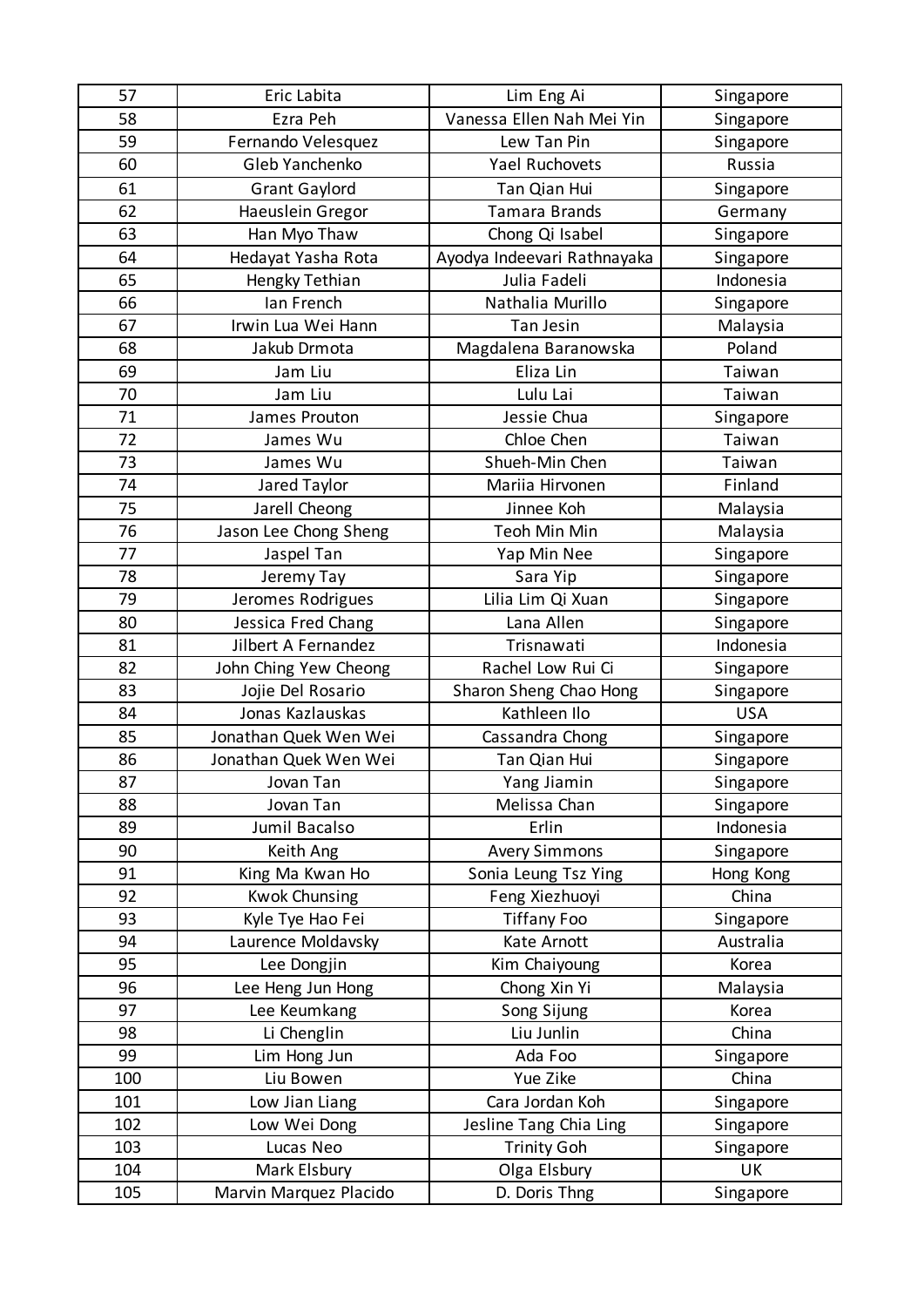| 57  | Eric Labita            | Lim Eng Ai                  | Singapore  |
|-----|------------------------|-----------------------------|------------|
| 58  | Ezra Peh               | Vanessa Ellen Nah Mei Yin   | Singapore  |
| 59  | Fernando Velesquez     | Lew Tan Pin                 | Singapore  |
| 60  | Gleb Yanchenko         | <b>Yael Ruchovets</b>       | Russia     |
| 61  | <b>Grant Gaylord</b>   | Tan Qian Hui                | Singapore  |
| 62  | Haeuslein Gregor       | <b>Tamara Brands</b>        | Germany    |
| 63  | Han Myo Thaw           | Chong Qi Isabel             | Singapore  |
| 64  | Hedayat Yasha Rota     | Ayodya Indeevari Rathnayaka | Singapore  |
| 65  | Hengky Tethian         | Julia Fadeli                | Indonesia  |
| 66  | lan French             | Nathalia Murillo            | Singapore  |
| 67  | Irwin Lua Wei Hann     | Tan Jesin                   | Malaysia   |
| 68  | Jakub Drmota           | Magdalena Baranowska        | Poland     |
| 69  | Jam Liu                | Eliza Lin                   | Taiwan     |
| 70  | Jam Liu                | Lulu Lai                    | Taiwan     |
| 71  | James Prouton          | Jessie Chua                 | Singapore  |
| 72  | James Wu               | Chloe Chen                  | Taiwan     |
| 73  | James Wu               | Shueh-Min Chen              | Taiwan     |
| 74  | Jared Taylor           | Mariia Hirvonen             | Finland    |
| 75  | Jarell Cheong          | Jinnee Koh                  | Malaysia   |
| 76  | Jason Lee Chong Sheng  | Teoh Min Min                | Malaysia   |
| 77  | Jaspel Tan             | Yap Min Nee                 | Singapore  |
| 78  | Jeremy Tay             | Sara Yip                    | Singapore  |
| 79  | Jeromes Rodrigues      | Lilia Lim Qi Xuan           | Singapore  |
| 80  | Jessica Fred Chang     | Lana Allen                  | Singapore  |
| 81  | Jilbert A Fernandez    | Trisnawati                  | Indonesia  |
| 82  | John Ching Yew Cheong  | Rachel Low Rui Ci           | Singapore  |
| 83  | Jojie Del Rosario      | Sharon Sheng Chao Hong      | Singapore  |
| 84  | Jonas Kazlauskas       | Kathleen Ilo                | <b>USA</b> |
| 85  | Jonathan Quek Wen Wei  | Cassandra Chong             | Singapore  |
| 86  | Jonathan Quek Wen Wei  | Tan Qian Hui                | Singapore  |
| 87  | Jovan Tan              | Yang Jiamin                 | Singapore  |
| 88  | Jovan Tan              | Melissa Chan                | Singapore  |
| 89  | Jumil Bacalso          | Erlin                       | Indonesia  |
| 90  | Keith Ang              | <b>Avery Simmons</b>        | Singapore  |
| 91  | King Ma Kwan Ho        | Sonia Leung Tsz Ying        | Hong Kong  |
| 92  | <b>Kwok Chunsing</b>   | Feng Xiezhuoyi              | China      |
| 93  | Kyle Tye Hao Fei       | <b>Tiffany Foo</b>          | Singapore  |
| 94  | Laurence Moldavsky     | Kate Arnott                 | Australia  |
| 95  | Lee Dongjin            | Kim Chaiyoung               | Korea      |
| 96  | Lee Heng Jun Hong      | Chong Xin Yi                | Malaysia   |
| 97  | Lee Keumkang           | Song Sijung                 | Korea      |
| 98  | Li Chenglin            | Liu Junlin                  | China      |
| 99  | Lim Hong Jun           | Ada Foo                     | Singapore  |
| 100 | Liu Bowen              | Yue Zike                    | China      |
| 101 | Low Jian Liang         | Cara Jordan Koh             | Singapore  |
| 102 | Low Wei Dong           | Jesline Tang Chia Ling      | Singapore  |
| 103 | Lucas Neo              | <b>Trinity Goh</b>          | Singapore  |
| 104 | Mark Elsbury           | Olga Elsbury                | <b>UK</b>  |
| 105 | Marvin Marquez Placido | D. Doris Thng               | Singapore  |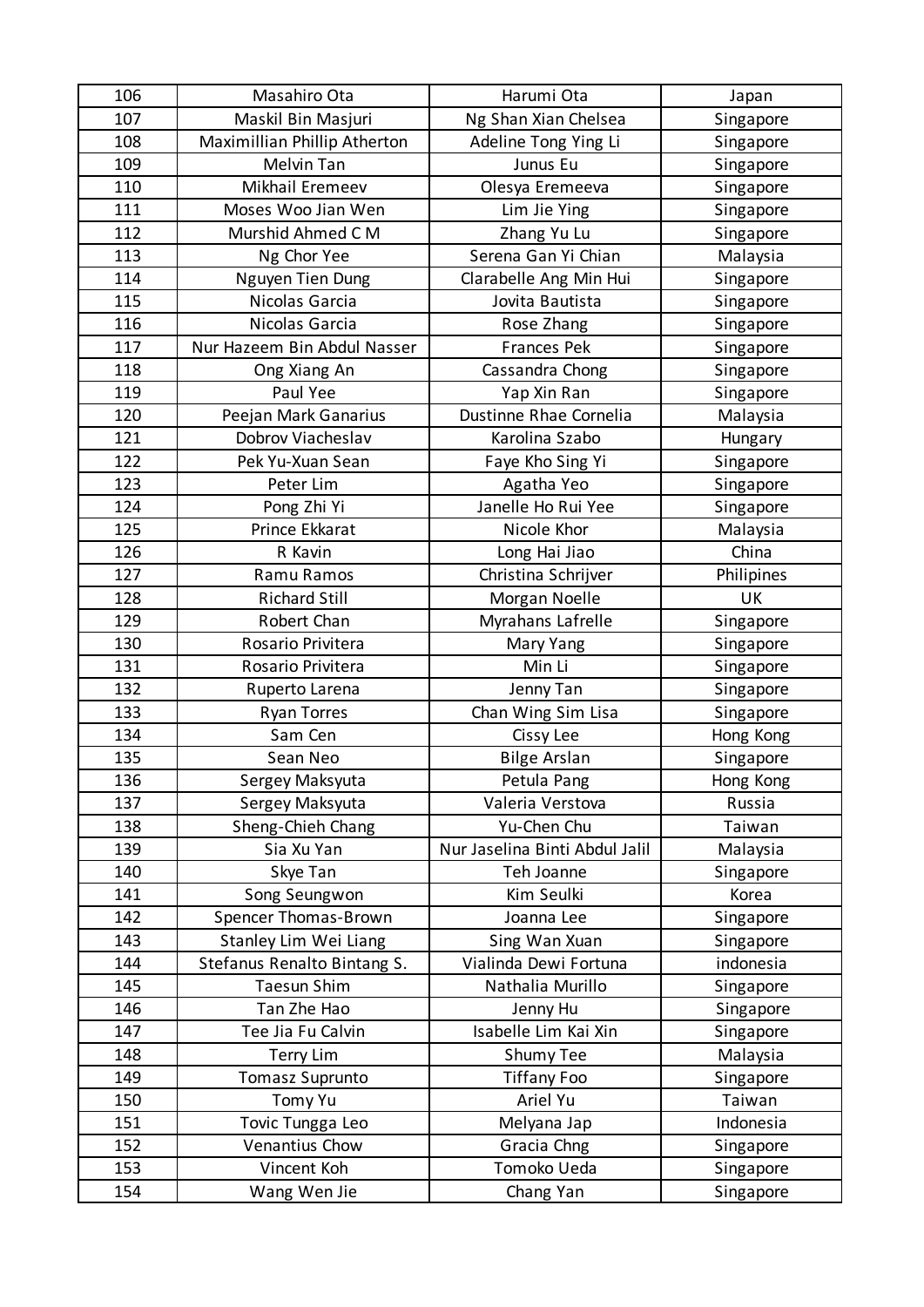| 106 | Masahiro Ota                 | Harumi Ota                     | Japan      |
|-----|------------------------------|--------------------------------|------------|
| 107 | Maskil Bin Masjuri           | Ng Shan Xian Chelsea           | Singapore  |
| 108 | Maximillian Phillip Atherton | Adeline Tong Ying Li           | Singapore  |
| 109 | Melvin Tan                   | Junus Eu                       | Singapore  |
| 110 | Mikhail Eremeev              | Olesya Eremeeva                | Singapore  |
| 111 | Moses Woo Jian Wen           | Lim Jie Ying                   | Singapore  |
| 112 | Murshid Ahmed C M            | Zhang Yu Lu                    | Singapore  |
| 113 | Ng Chor Yee                  | Serena Gan Yi Chian            | Malaysia   |
| 114 | Nguyen Tien Dung             | Clarabelle Ang Min Hui         | Singapore  |
| 115 | Nicolas Garcia               | Jovita Bautista                | Singapore  |
| 116 | Nicolas Garcia               | Rose Zhang                     | Singapore  |
| 117 | Nur Hazeem Bin Abdul Nasser  | <b>Frances Pek</b>             | Singapore  |
| 118 | Ong Xiang An                 | Cassandra Chong                | Singapore  |
| 119 | Paul Yee                     | Yap Xin Ran                    | Singapore  |
| 120 | Peejan Mark Ganarius         | Dustinne Rhae Cornelia         | Malaysia   |
| 121 | Dobrov Viacheslav            | Karolina Szabo                 | Hungary    |
| 122 | Pek Yu-Xuan Sean             | Faye Kho Sing Yi               | Singapore  |
| 123 | Peter Lim                    | Agatha Yeo                     | Singapore  |
| 124 | Pong Zhi Yi                  | Janelle Ho Rui Yee             | Singapore  |
| 125 | Prince Ekkarat               | Nicole Khor                    | Malaysia   |
| 126 | R Kavin                      | Long Hai Jiao                  | China      |
| 127 | Ramu Ramos                   | Christina Schrijver            | Philipines |
| 128 | <b>Richard Still</b>         | Morgan Noelle                  | UK         |
| 129 | Robert Chan                  | Myrahans Lafrelle              | Singapore  |
| 130 | Rosario Privitera            | Mary Yang                      | Singapore  |
| 131 | Rosario Privitera            | Min Li                         | Singapore  |
| 132 | Ruperto Larena               | Jenny Tan                      | Singapore  |
| 133 | <b>Ryan Torres</b>           | Chan Wing Sim Lisa             | Singapore  |
| 134 | Sam Cen                      | Cissy Lee                      | Hong Kong  |
| 135 | Sean Neo                     | <b>Bilge Arslan</b>            | Singapore  |
| 136 | Sergey Maksyuta              | Petula Pang                    | Hong Kong  |
| 137 | Sergey Maksyuta              | Valeria Verstova               | Russia     |
| 138 | Sheng-Chieh Chang            | Yu-Chen Chu                    | Taiwan     |
| 139 | Sia Xu Yan                   | Nur Jaselina Binti Abdul Jalil | Malaysia   |
| 140 | Skye Tan                     | Teh Joanne                     | Singapore  |
| 141 | Song Seungwon                | Kim Seulki                     | Korea      |
| 142 | Spencer Thomas-Brown         | Joanna Lee                     | Singapore  |
| 143 | Stanley Lim Wei Liang        | Sing Wan Xuan                  | Singapore  |
| 144 | Stefanus Renalto Bintang S.  | Vialinda Dewi Fortuna          | indonesia  |
| 145 | <b>Taesun Shim</b>           | Nathalia Murillo               | Singapore  |
| 146 | Tan Zhe Hao                  | Jenny Hu                       | Singapore  |
| 147 | Tee Jia Fu Calvin            | Isabelle Lim Kai Xin           | Singapore  |
| 148 | <b>Terry Lim</b>             | Shumy Tee                      | Malaysia   |
| 149 | <b>Tomasz Suprunto</b>       | <b>Tiffany Foo</b>             | Singapore  |
| 150 | Tomy Yu                      | Ariel Yu                       | Taiwan     |
| 151 | Tovic Tungga Leo             | Melyana Jap                    | Indonesia  |
| 152 | Venantius Chow               | Gracia Chng                    | Singapore  |
| 153 | Vincent Koh                  | Tomoko Ueda                    | Singapore  |
| 154 | Wang Wen Jie                 | Chang Yan                      | Singapore  |